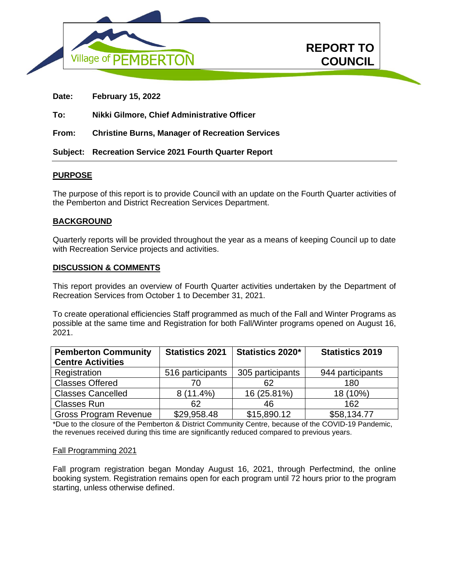



**Date: February 15, 2022**

**To: Nikki Gilmore, Chief Administrative Officer**

**From: Christine Burns, Manager of Recreation Services**

**Subject: Recreation Service 2021 Fourth Quarter Report** 

# **PURPOSE**

The purpose of this report is to provide Council with an update on the Fourth Quarter activities of the Pemberton and District Recreation Services Department.

### **BACKGROUND**

Quarterly reports will be provided throughout the year as a means of keeping Council up to date with Recreation Service projects and activities.

#### **DISCUSSION & COMMENTS**

This report provides an overview of Fourth Quarter activities undertaken by the Department of Recreation Services from October 1 to December 31, 2021.

To create operational efficiencies Staff programmed as much of the Fall and Winter Programs as possible at the same time and Registration for both Fall/Winter programs opened on August 16, 2021.

| <b>Pemberton Community</b>   | <b>Statistics 2021</b> | Statistics 2020* | <b>Statistics 2019</b> |
|------------------------------|------------------------|------------------|------------------------|
| <b>Centre Activities</b>     |                        |                  |                        |
| Registration                 | 516 participants       | 305 participants | 944 participants       |
| <b>Classes Offered</b>       | 70                     | 62               | 180                    |
| <b>Classes Cancelled</b>     | 8 (11.4%)              | 16 (25.81%)      | 18 (10%)               |
| <b>Classes Run</b>           | 62                     | 46               | 162                    |
| <b>Gross Program Revenue</b> | \$29,958.48            | \$15,890.12      | \$58,134.77            |

\*Due to the closure of the Pemberton & District Community Centre, because of the COVID-19 Pandemic, the revenues received during this time are significantly reduced compared to previous years.

#### Fall Programming 2021

Fall program registration began Monday August 16, 2021, through Perfectmind, the online booking system. Registration remains open for each program until 72 hours prior to the program starting, unless otherwise defined.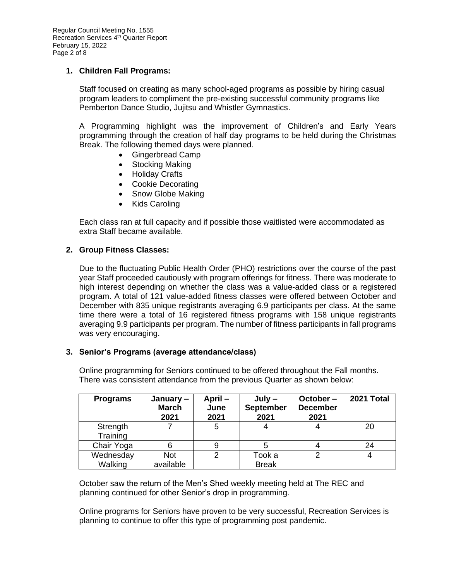### **1. Children Fall Programs:**

Staff focused on creating as many school-aged programs as possible by hiring casual program leaders to compliment the pre-existing successful community programs like Pemberton Dance Studio, Jujitsu and Whistler Gymnastics.

A Programming highlight was the improvement of Children's and Early Years programming through the creation of half day programs to be held during the Christmas Break. The following themed days were planned.

- Gingerbread Camp
- Stocking Making
- Holiday Crafts
- Cookie Decorating
- Snow Globe Making
- Kids Caroling

Each class ran at full capacity and if possible those waitlisted were accommodated as extra Staff became available.

#### **2. Group Fitness Classes:**

Due to the fluctuating Public Health Order (PHO) restrictions over the course of the past year Staff proceeded cautiously with program offerings for fitness. There was moderate to high interest depending on whether the class was a value-added class or a registered program. A total of 121 value-added fitness classes were offered between October and December with 835 unique registrants averaging 6.9 participants per class. At the same time there were a total of 16 registered fitness programs with 158 unique registrants averaging 9.9 participants per program. The number of fitness participants in fall programs was very encouraging.

#### **3. Senior's Programs (average attendance/class)**

| <b>Programs</b>      | January –<br><b>March</b><br>2021 | April-<br>June<br>2021 | $July -$<br><b>September</b><br>2021 | October-<br><b>December</b><br>2021 | 2021 Total |
|----------------------|-----------------------------------|------------------------|--------------------------------------|-------------------------------------|------------|
| Strength<br>Training |                                   | 5                      |                                      |                                     | 20         |
| Chair Yoga           |                                   | 9                      | 5                                    |                                     | 24         |
| Wednesday<br>Walking | Not<br>available                  | 2                      | Took a<br><b>Break</b>               | 2                                   |            |

Online programming for Seniors continued to be offered throughout the Fall months. There was consistent attendance from the previous Quarter as shown below:

October saw the return of the Men's Shed weekly meeting held at The REC and planning continued for other Senior's drop in programming.

Online programs for Seniors have proven to be very successful, Recreation Services is planning to continue to offer this type of programming post pandemic.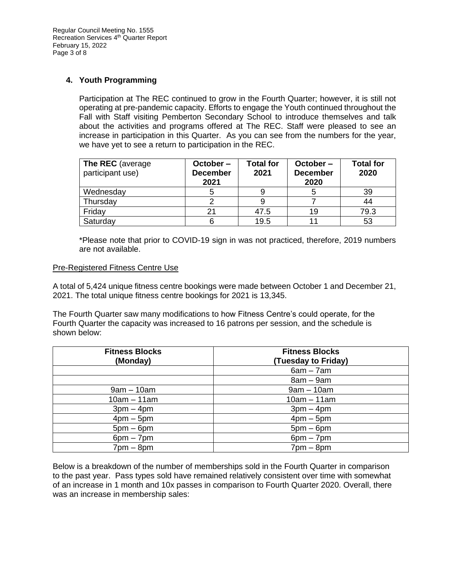### **4. Youth Programming**

Participation at The REC continued to grow in the Fourth Quarter; however, it is still not operating at pre-pandemic capacity. Efforts to engage the Youth continued throughout the Fall with Staff visiting Pemberton Secondary School to introduce themselves and talk about the activities and programs offered at The REC. Staff were pleased to see an increase in participation in this Quarter. As you can see from the numbers for the year, we have yet to see a return to participation in the REC.

| The REC (average<br>participant use) | October-<br><b>December</b><br>2021 | <b>Total for</b><br>2021 | October-<br><b>December</b><br>2020 | <b>Total for</b><br>2020 |
|--------------------------------------|-------------------------------------|--------------------------|-------------------------------------|--------------------------|
| Wednesday                            |                                     |                          |                                     | 39                       |
| Thursday                             |                                     |                          |                                     | 44                       |
| Friday                               |                                     | 47.5                     | 19                                  | 79.3                     |
| Saturday                             |                                     | 19.5                     |                                     | 53                       |

\*Please note that prior to COVID-19 sign in was not practiced, therefore, 2019 numbers are not available.

#### Pre-Registered Fitness Centre Use

A total of 5,424 unique fitness centre bookings were made between October 1 and December 21, 2021. The total unique fitness centre bookings for 2021 is 13,345.

The Fourth Quarter saw many modifications to how Fitness Centre's could operate, for the Fourth Quarter the capacity was increased to 16 patrons per session, and the schedule is shown below:

| <b>Fitness Blocks</b><br>(Monday) | <b>Fitness Blocks</b><br>(Tuesday to Friday) |  |  |
|-----------------------------------|----------------------------------------------|--|--|
|                                   | $6am - 7am$                                  |  |  |
|                                   | $8am - 9am$                                  |  |  |
| $9am - 10am$                      | $9am - 10am$                                 |  |  |
| $10am - 11am$                     | $10am - 11am$                                |  |  |
| $3pm - 4pm$                       | $3pm - 4pm$                                  |  |  |
| $4pm - 5pm$                       | $4$ pm $-5$ pm                               |  |  |
| $5pm - 6pm$                       | $5pm-6pm$                                    |  |  |
| $6pm - 7pm$                       | $6pm - 7pm$                                  |  |  |
| $7pm - 8pm$                       | $7$ pm $-$ 8pm                               |  |  |

Below is a breakdown of the number of memberships sold in the Fourth Quarter in comparison to the past year. Pass types sold have remained relatively consistent over time with somewhat of an increase in 1 month and 10x passes in comparison to Fourth Quarter 2020. Overall, there was an increase in membership sales: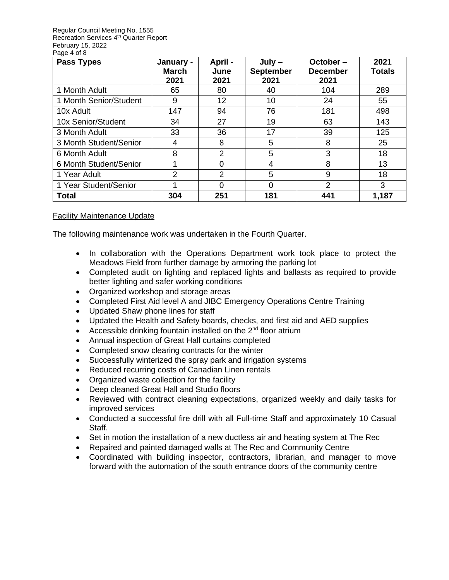Regular Council Meeting No. 1555 Recreation Services 4<sup>th</sup> Quarter Report February 15, 2022 Page 4 of 8

| <b>Pass Types</b>      | January -<br><b>March</b><br>2021 | April -<br>June<br>2021 | $July -$<br><b>September</b><br>2021 | October-<br><b>December</b><br>2021 | 2021<br><b>Totals</b> |
|------------------------|-----------------------------------|-------------------------|--------------------------------------|-------------------------------------|-----------------------|
| 1 Month Adult          | 65                                | 80                      | 40                                   | 104                                 | 289                   |
| 1 Month Senior/Student | 9                                 | 12 <sub>2</sub>         | 10                                   | 24                                  | 55                    |
| 10x Adult              | 147                               | 94                      | 76                                   | 181                                 | 498                   |
| 10x Senior/Student     | 34                                | 27                      | 19                                   | 63                                  | 143                   |
| 3 Month Adult          | 33                                | 36                      | 17                                   | 39                                  | 125                   |
| 3 Month Student/Senior | 4                                 | 8                       | 5                                    | 8                                   | 25                    |
| 6 Month Adult          | 8                                 | 2                       | 5                                    | 3                                   | 18                    |
| 6 Month Student/Senior |                                   | 0                       | 4                                    | 8                                   | 13                    |
| 1 Year Adult           | 2                                 | 2                       | 5                                    | 9                                   | 18                    |
| 1 Year Student/Senior  |                                   | 0                       | 0                                    | $\overline{2}$                      | 3                     |
| <b>Total</b>           | 304                               | 251                     | 181                                  | 441                                 | 1,187                 |

# Facility Maintenance Update

The following maintenance work was undertaken in the Fourth Quarter.

- In collaboration with the Operations Department work took place to protect the Meadows Field from further damage by armoring the parking lot
- Completed audit on lighting and replaced lights and ballasts as required to provide better lighting and safer working conditions
- Organized workshop and storage areas
- Completed First Aid level A and JIBC Emergency Operations Centre Training
- Updated Shaw phone lines for staff
- Updated the Health and Safety boards, checks, and first aid and AED supplies
- Accessible drinking fountain installed on the  $2<sup>nd</sup>$  floor atrium
- Annual inspection of Great Hall curtains completed
- Completed snow clearing contracts for the winter
- Successfully winterized the spray park and irrigation systems
- Reduced recurring costs of Canadian Linen rentals
- Organized waste collection for the facility
- Deep cleaned Great Hall and Studio floors
- Reviewed with contract cleaning expectations, organized weekly and daily tasks for improved services
- Conducted a successful fire drill with all Full-time Staff and approximately 10 Casual Staff.
- Set in motion the installation of a new ductless air and heating system at The Rec
- Repaired and painted damaged walls at The Rec and Community Centre
- Coordinated with building inspector, contractors, librarian, and manager to move forward with the automation of the south entrance doors of the community centre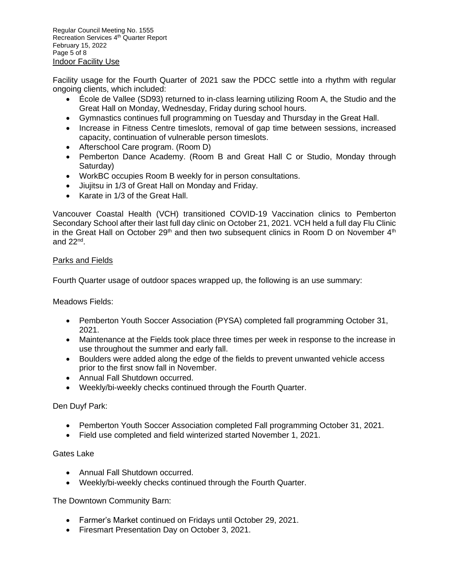Regular Council Meeting No. 1555 Recreation Services 4<sup>th</sup> Quarter Report February 15, 2022 Page 5 of 8 Indoor Facility Use

Facility usage for the Fourth Quarter of 2021 saw the PDCC settle into a rhythm with regular ongoing clients, which included:

- École de Vallee (SD93) returned to in-class learning utilizing Room A, the Studio and the Great Hall on Monday, Wednesday, Friday during school hours.
- Gymnastics continues full programming on Tuesday and Thursday in the Great Hall.
- Increase in Fitness Centre timeslots, removal of gap time between sessions, increased capacity, continuation of vulnerable person timeslots.
- Afterschool Care program. (Room D)
- Pemberton Dance Academy. (Room B and Great Hall C or Studio, Monday through Saturday)
- WorkBC occupies Room B weekly for in person consultations.
- Jiujitsu in 1/3 of Great Hall on Monday and Friday.
- Karate in 1/3 of the Great Hall.

Vancouver Coastal Health (VCH) transitioned COVID-19 Vaccination clinics to Pemberton Secondary School after their last full day clinic on October 21, 2021. VCH held a full day Flu Clinic in the Great Hall on October 29<sup>th</sup> and then two subsequent clinics in Room D on November 4<sup>th</sup> and 22nd .

### Parks and Fields

Fourth Quarter usage of outdoor spaces wrapped up, the following is an use summary:

Meadows Fields:

- Pemberton Youth Soccer Association (PYSA) completed fall programming October 31, 2021.
- Maintenance at the Fields took place three times per week in response to the increase in use throughout the summer and early fall.
- Boulders were added along the edge of the fields to prevent unwanted vehicle access prior to the first snow fall in November.
- Annual Fall Shutdown occurred.
- Weekly/bi-weekly checks continued through the Fourth Quarter.

Den Duyf Park:

- Pemberton Youth Soccer Association completed Fall programming October 31, 2021.
- Field use completed and field winterized started November 1, 2021.

Gates Lake

- Annual Fall Shutdown occurred.
- Weekly/bi-weekly checks continued through the Fourth Quarter.

The Downtown Community Barn:

- Farmer's Market continued on Fridays until October 29, 2021.
- Firesmart Presentation Day on October 3, 2021.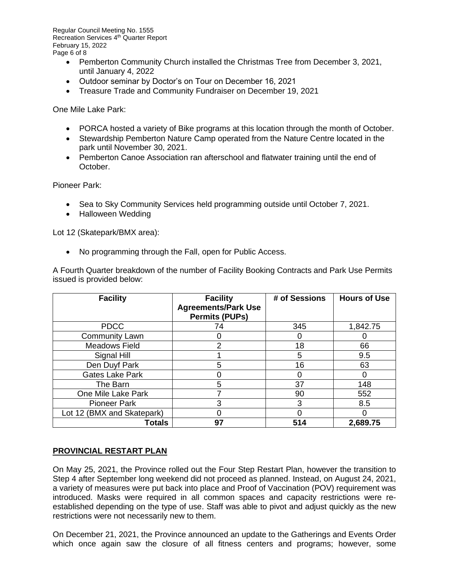Regular Council Meeting No. 1555 Recreation Services 4<sup>th</sup> Quarter Report February 15, 2022 Page 6 of 8

- Pemberton Community Church installed the Christmas Tree from December 3, 2021, until January 4, 2022
- Outdoor seminar by Doctor's on Tour on December 16, 2021
- Treasure Trade and Community Fundraiser on December 19, 2021

One Mile Lake Park:

- PORCA hosted a variety of Bike programs at this location through the month of October.
- Stewardship Pemberton Nature Camp operated from the Nature Centre located in the park until November 30, 2021.
- Pemberton Canoe Association ran afterschool and flatwater training until the end of October.

Pioneer Park:

- Sea to Sky Community Services held programming outside until October 7, 2021.
- Halloween Wedding

Lot 12 (Skatepark/BMX area):

• No programming through the Fall, open for Public Access.

A Fourth Quarter breakdown of the number of Facility Booking Contracts and Park Use Permits issued is provided below:

| <b>Facility</b>            | <b>Facility</b><br><b>Agreements/Park Use</b><br><b>Permits (PUPs)</b> | # of Sessions | <b>Hours of Use</b> |
|----------------------------|------------------------------------------------------------------------|---------------|---------------------|
| <b>PDCC</b>                | 74                                                                     | 345           | 1,842.75            |
| <b>Community Lawn</b>      |                                                                        |               |                     |
| <b>Meadows Field</b>       | 2                                                                      | 18            | 66                  |
| Signal Hill                |                                                                        | 5             | 9.5                 |
| Den Duyf Park              | 5                                                                      | 16            | 63                  |
| Gates Lake Park            |                                                                        |               | O                   |
| The Barn                   | 5                                                                      | 37            | 148                 |
| One Mile Lake Park         |                                                                        | 90            | 552                 |
| <b>Pioneer Park</b>        | 3                                                                      | 3             | 8.5                 |
| Lot 12 (BMX and Skatepark) | 0                                                                      |               | O                   |
| <b>Totals</b>              | 97                                                                     | 514           | 2,689.75            |

# **PROVINCIAL RESTART PLAN**

On May 25, 2021, the Province rolled out the Four Step Restart Plan, however the transition to Step 4 after September long weekend did not proceed as planned. Instead, on August 24, 2021, a variety of measures were put back into place and Proof of Vaccination (POV) requirement was introduced. Masks were required in all common spaces and capacity restrictions were reestablished depending on the type of use. Staff was able to pivot and adjust quickly as the new restrictions were not necessarily new to them.

On December 21, 2021, the Province announced an update to the Gatherings and Events Order which once again saw the closure of all fitness centers and programs; however, some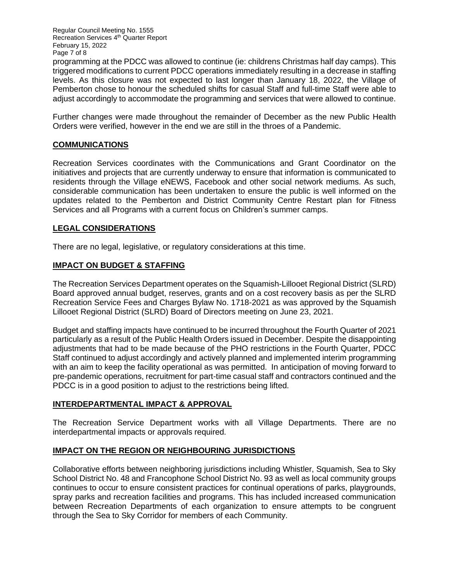Regular Council Meeting No. 1555 Recreation Services 4<sup>th</sup> Quarter Report February 15, 2022 Page 7 of 8 programming at the PDCC was allowed to continue (ie: childrens Christmas half day camps). This triggered modifications to current PDCC operations immediately resulting in a decrease in staffing levels. As this closure was not expected to last longer than January 18, 2022, the Village of Pemberton chose to honour the scheduled shifts for casual Staff and full-time Staff were able to adjust accordingly to accommodate the programming and services that were allowed to continue.

Further changes were made throughout the remainder of December as the new Public Health Orders were verified, however in the end we are still in the throes of a Pandemic.

# **COMMUNICATIONS**

Recreation Services coordinates with the Communications and Grant Coordinator on the initiatives and projects that are currently underway to ensure that information is communicated to residents through the Village eNEWS, Facebook and other social network mediums. As such, considerable communication has been undertaken to ensure the public is well informed on the updates related to the Pemberton and District Community Centre Restart plan for Fitness Services and all Programs with a current focus on Children's summer camps.

### **LEGAL CONSIDERATIONS**

There are no legal, legislative, or regulatory considerations at this time.

# **IMPACT ON BUDGET & STAFFING**

The Recreation Services Department operates on the Squamish-Lillooet Regional District (SLRD) Board approved annual budget, reserves, grants and on a cost recovery basis as per the SLRD Recreation Service Fees and Charges Bylaw No. 1718-2021 as was approved by the Squamish Lillooet Regional District (SLRD) Board of Directors meeting on June 23, 2021.

Budget and staffing impacts have continued to be incurred throughout the Fourth Quarter of 2021 particularly as a result of the Public Health Orders issued in December. Despite the disappointing adjustments that had to be made because of the PHO restrictions in the Fourth Quarter, PDCC Staff continued to adjust accordingly and actively planned and implemented interim programming with an aim to keep the facility operational as was permitted. In anticipation of moving forward to pre-pandemic operations, recruitment for part-time casual staff and contractors continued and the PDCC is in a good position to adjust to the restrictions being lifted.

# **INTERDEPARTMENTAL IMPACT & APPROVAL**

The Recreation Service Department works with all Village Departments. There are no interdepartmental impacts or approvals required.

# **IMPACT ON THE REGION OR NEIGHBOURING JURISDICTIONS**

Collaborative efforts between neighboring jurisdictions including Whistler, Squamish, Sea to Sky School District No. 48 and Francophone School District No. 93 as well as local community groups continues to occur to ensure consistent practices for continual operations of parks, playgrounds, spray parks and recreation facilities and programs. This has included increased communication between Recreation Departments of each organization to ensure attempts to be congruent through the Sea to Sky Corridor for members of each Community.